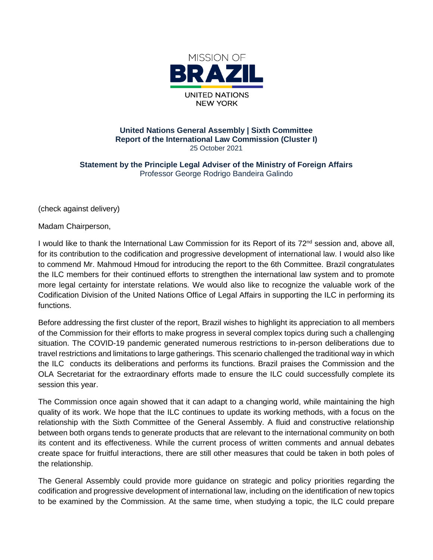

## **United Nations General Assembly | Sixth Committee Report of the International Law Commission (Cluster I)** 25 October 2021

**Statement by the Principle Legal Adviser of the Ministry of Foreign Affairs** Professor George Rodrigo Bandeira Galindo

(check against delivery)

Madam Chairperson,

I would like to thank the International Law Commission for its Report of its 72<sup>nd</sup> session and, above all, for its contribution to the codification and progressive development of international law. I would also like to commend Mr. Mahmoud Hmoud for introducing the report to the 6th Committee. Brazil congratulates the ILC members for their continued efforts to strengthen the international law system and to promote more legal certainty for interstate relations. We would also like to recognize the valuable work of the Codification Division of the United Nations Office of Legal Affairs in supporting the ILC in performing its functions.

Before addressing the first cluster of the report, Brazil wishes to highlight its appreciation to all members of the Commission for their efforts to make progress in several complex topics during such a challenging situation. The COVID-19 pandemic generated numerous restrictions to in-person deliberations due to travel restrictions and limitations to large gatherings. This scenario challenged the traditional way in which the ILC conducts its deliberations and performs its functions. Brazil praises the Commission and the OLA Secretariat for the extraordinary efforts made to ensure the ILC could successfully complete its session this year.

The Commission once again showed that it can adapt to a changing world, while maintaining the high quality of its work. We hope that the ILC continues to update its working methods, with a focus on the relationship with the Sixth Committee of the General Assembly. A fluid and constructive relationship between both organs tends to generate products that are relevant to the international community on both its content and its effectiveness. While the current process of written comments and annual debates create space for fruitful interactions, there are still other measures that could be taken in both poles of the relationship.

The General Assembly could provide more guidance on strategic and policy priorities regarding the codification and progressive development of international law, including on the identification of new topics to be examined by the Commission. At the same time, when studying a topic, the ILC could prepare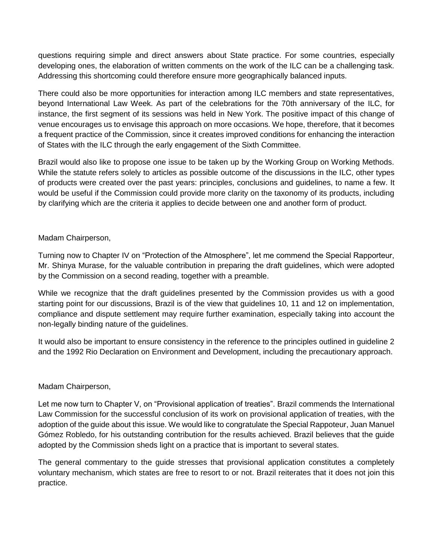questions requiring simple and direct answers about State practice. For some countries, especially developing ones, the elaboration of written comments on the work of the ILC can be a challenging task. Addressing this shortcoming could therefore ensure more geographically balanced inputs.

There could also be more opportunities for interaction among ILC members and state representatives, beyond International Law Week. As part of the celebrations for the 70th anniversary of the ILC, for instance, the first segment of its sessions was held in New York. The positive impact of this change of venue encourages us to envisage this approach on more occasions. We hope, therefore, that it becomes a frequent practice of the Commission, since it creates improved conditions for enhancing the interaction of States with the ILC through the early engagement of the Sixth Committee.

Brazil would also like to propose one issue to be taken up by the Working Group on Working Methods. While the statute refers solely to articles as possible outcome of the discussions in the ILC, other types of products were created over the past years: principles, conclusions and guidelines, to name a few. It would be useful if the Commission could provide more clarity on the taxonomy of its products, including by clarifying which are the criteria it applies to decide between one and another form of product.

## Madam Chairperson,

Turning now to Chapter IV on "Protection of the Atmosphere", let me commend the Special Rapporteur, Mr. Shinya Murase, for the valuable contribution in preparing the draft guidelines, which were adopted by the Commission on a second reading, together with a preamble.

While we recognize that the draft guidelines presented by the Commission provides us with a good starting point for our discussions, Brazil is of the view that guidelines 10, 11 and 12 on implementation, compliance and dispute settlement may require further examination, especially taking into account the non-legally binding nature of the guidelines.

It would also be important to ensure consistency in the reference to the principles outlined in guideline 2 and the 1992 Rio Declaration on Environment and Development, including the precautionary approach.

## Madam Chairperson,

Let me now turn to Chapter V, on "Provisional application of treaties". Brazil commends the International Law Commission for the successful conclusion of its work on provisional application of treaties, with the adoption of the guide about this issue. We would like to congratulate the Special Rappoteur, Juan Manuel Gómez Robledo, for his outstanding contribution for the results achieved. Brazil believes that the guide adopted by the Commission sheds light on a practice that is important to several states.

The general commentary to the guide stresses that provisional application constitutes a completely voluntary mechanism, which states are free to resort to or not. Brazil reiterates that it does not join this practice.